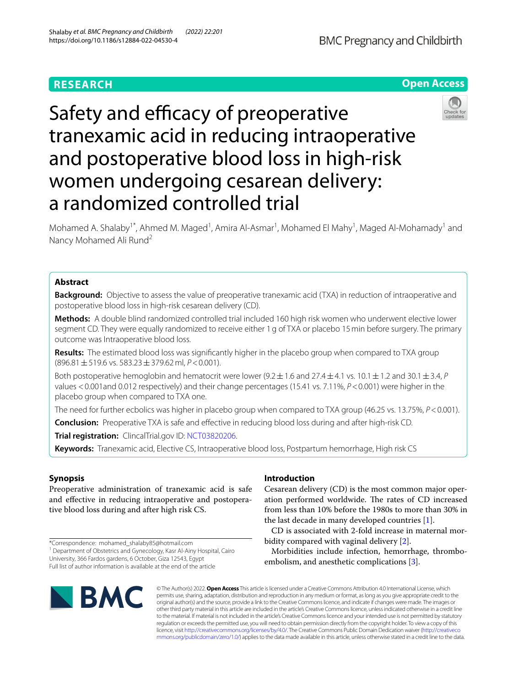# **RESEARCH**



# Safety and efficacy of preoperative tranexamic acid in reducing intraoperative and postoperative blood loss in high-risk women undergoing cesarean delivery: a randomized controlled trial



Mohamed A. Shalaby<sup>1\*</sup>, Ahmed M. Maged<sup>1</sup>, Amira Al-Asmar<sup>1</sup>, Mohamed El Mahy<sup>1</sup>, Maged Al-Mohamady<sup>1</sup> and Nancy Mohamed Ali Rund<sup>2</sup>

# **Abstract**

**Background:** Objective to assess the value of preoperative tranexamic acid (TXA) in reduction of intraoperative and postoperative blood loss in high-risk cesarean delivery (CD).

**Methods:** A double blind randomized controlled trial included 160 high risk women who underwent elective lower segment CD. They were equally randomized to receive either 1g of TXA or placebo 15min before surgery. The primary outcome was Intraoperative blood loss.

**Results:** The estimated blood loss was signifcantly higher in the placebo group when compared to TXA group (896.81±519.6 vs. 583.23±379.62ml, *P*<0.001).

Both postoperative hemoglobin and hematocrit were lower  $(9.2 \pm 1.6$  and  $27.4 \pm 4.1$  vs.  $10.1 \pm 1.2$  and  $30.1 \pm 3.4$ , *P* values <0.001and 0.012 respectively) and their change percentages (15.41 vs. 7.11%, *P*<0.001) were higher in the placebo group when compared to TXA one.

The need for further ecbolics was higher in placebo group when compared to TXA group (46.25 vs. 13.75%, *P*<0.001).

**Conclusion:** Preoperative TXA is safe and effective in reducing blood loss during and after high-risk CD.

**Trial registration:** ClincalTrial.gov ID: [NCT03820206.](https://clinicaltrials.gov/ct2/show/NCT03820206)

**Keywords:** Tranexamic acid, Elective CS, Intraoperative blood loss, Postpartum hemorrhage, High risk CS

# **Synopsis**

Preoperative administration of tranexamic acid is safe and efective in reducing intraoperative and postoperative blood loss during and after high risk CS.

\*Correspondence: mohamed\_shalaby85@hotmail.com <sup>1</sup> Department of Obstetrics and Gynecology, Kasr Al-Ainy Hospital, Cairo University, 366 Fardos gardens, 6 October, Giza 12543, Egypt

Full list of author information is available at the end of the article

# **Introduction**

Cesarean delivery (CD) is the most common major operation performed worldwide. The rates of CD increased from less than 10% before the 1980s to more than 30% in the last decade in many developed countries [[1](#page-5-0)].

CD is associated with 2-fold increase in maternal morbidity compared with vaginal delivery [[2](#page-5-1)].

Morbidities include infection, hemorrhage, thrombo-embolism, and anesthetic complications [[3\]](#page-5-2).



© The Author(s) 2022. **Open Access** This article is licensed under a Creative Commons Attribution 4.0 International License, which permits use, sharing, adaptation, distribution and reproduction in any medium or format, as long as you give appropriate credit to the original author(s) and the source, provide a link to the Creative Commons licence, and indicate if changes were made. The images or other third party material in this article are included in the article's Creative Commons licence, unless indicated otherwise in a credit line to the material. If material is not included in the article's Creative Commons licence and your intended use is not permitted by statutory regulation or exceeds the permitted use, you will need to obtain permission directly from the copyright holder. To view a copy of this licence, visit [http://creativecommons.org/licenses/by/4.0/.](http://creativecommons.org/licenses/by/4.0/) The Creative Commons Public Domain Dedication waiver ([http://creativeco](http://creativecommons.org/publicdomain/zero/1.0/) [mmons.org/publicdomain/zero/1.0/](http://creativecommons.org/publicdomain/zero/1.0/)) applies to the data made available in this article, unless otherwise stated in a credit line to the data.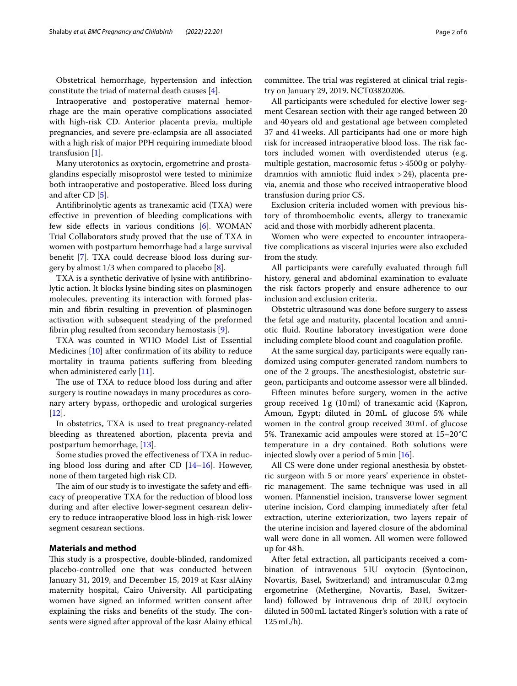Obstetrical hemorrhage, hypertension and infection constitute the triad of maternal death causes [\[4](#page-5-3)].

Intraoperative and postoperative maternal hemorrhage are the main operative complications associated with high-risk CD. Anterior placenta previa, multiple pregnancies, and severe pre-eclampsia are all associated with a high risk of major PPH requiring immediate blood transfusion [\[1](#page-5-0)].

Many uterotonics as oxytocin, ergometrine and prostaglandins especially misoprostol were tested to minimize both intraoperative and postoperative. Bleed loss during and after CD [\[5\]](#page-5-4).

Antifbrinolytic agents as tranexamic acid (TXA) were efective in prevention of bleeding complications with few side efects in various conditions [[6\]](#page-5-5). WOMAN Trial Collaborators study proved that the use of TXA in women with postpartum hemorrhage had a large survival beneft [\[7\]](#page-5-6). TXA could decrease blood loss during surgery by almost 1/3 when compared to placebo [[8\]](#page-5-7).

TXA is a synthetic derivative of lysine with antifbrinolytic action. It blocks lysine binding sites on plasminogen molecules, preventing its interaction with formed plasmin and fbrin resulting in prevention of plasminogen activation with subsequent steadying of the preformed fbrin plug resulted from secondary hemostasis [\[9](#page-5-8)].

TXA was counted in WHO Model List of Essential Medicines [\[10](#page-5-9)] after confrmation of its ability to reduce mortality in trauma patients sufering from bleeding when administered early [[11](#page-5-10)].

The use of TXA to reduce blood loss during and after surgery is routine nowadays in many procedures as coronary artery bypass, orthopedic and urological surgeries [[12\]](#page-5-11).

In obstetrics, TXA is used to treat pregnancy-related bleeding as threatened abortion, placenta previa and postpartum hemorrhage, [\[13](#page-5-12)].

Some studies proved the efectiveness of TXA in reducing blood loss during and after CD [[14–](#page-5-13)[16](#page-5-14)]. However, none of them targeted high risk CD.

The aim of our study is to investigate the safety and efficacy of preoperative TXA for the reduction of blood loss during and after elective lower-segment cesarean delivery to reduce intraoperative blood loss in high-risk lower segment cesarean sections.

## **Materials and method**

This study is a prospective, double-blinded, randomized placebo-controlled one that was conducted between January 31, 2019, and December 15, 2019 at Kasr alAiny maternity hospital, Cairo University. All participating women have signed an informed written consent after explaining the risks and benefits of the study. The consents were signed after approval of the kasr Alainy ethical committee. The trial was registered at clinical trial registry on January 29, 2019. NCT03820206.

All participants were scheduled for elective lower segment Cesarean section with their age ranged between 20 and 40years old and gestational age between completed 37 and 41weeks. All participants had one or more high risk for increased intraoperative blood loss. The risk factors included women with overdistended uterus (e.g. multiple gestation, macrosomic fetus >4500g or polyhydramnios with amniotic fuid index >24), placenta previa, anemia and those who received intraoperative blood transfusion during prior CS.

Exclusion criteria included women with previous history of thromboembolic events, allergy to tranexamic acid and those with morbidly adherent placenta.

Women who were expected to encounter intraoperative complications as visceral injuries were also excluded from the study.

All participants were carefully evaluated through full history, general and abdominal examination to evaluate the risk factors properly and ensure adherence to our inclusion and exclusion criteria.

Obstetric ultrasound was done before surgery to assess the fetal age and maturity, placental location and amniotic fuid. Routine laboratory investigation were done including complete blood count and coagulation profle.

At the same surgical day, participants were equally randomized using computer-generated random numbers to one of the 2 groups. The anesthesiologist, obstetric surgeon, participants and outcome assessor were all blinded.

Fifteen minutes before surgery, women in the active group received  $1g(10ml)$  of tranexamic acid (Kapron, Amoun, Egypt; diluted in 20mL of glucose 5% while women in the control group received 30mL of glucose 5%. Tranexamic acid ampoules were stored at 15–20°C temperature in a dry contained. Both solutions were injected slowly over a period of 5min [[16\]](#page-5-14).

All CS were done under regional anesthesia by obstetric surgeon with 5 or more years' experience in obstetric management. The same technique was used in all women. Pfannenstiel incision, transverse lower segment uterine incision, Cord clamping immediately after fetal extraction, uterine exteriorization, two layers repair of the uterine incision and layered closure of the abdominal wall were done in all women. All women were followed up for 48h.

After fetal extraction, all participants received a combination of intravenous 5IU oxytocin (Syntocinon, Novartis, Basel, Switzerland) and intramuscular 0.2mg ergometrine (Methergine, Novartis, Basel, Switzerland) followed by intravenous drip of 20 IU oxytocin diluted in 500mL lactated Ringer's solution with a rate of 125mL/h).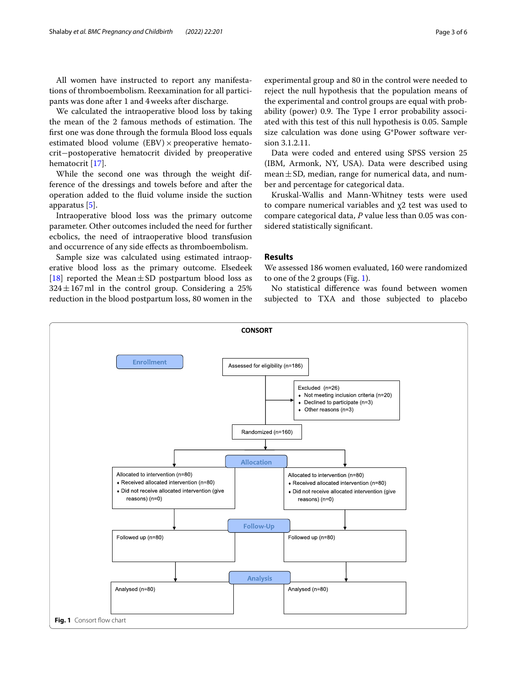All women have instructed to report any manifestations of thromboembolism. Reexamination for all participants was done after 1 and 4weeks after discharge.

We calculated the intraoperative blood loss by taking the mean of the 2 famous methods of estimation. The frst one was done through the formula Blood loss equals estimated blood volume  $(EBV) \times preoperative$  hematocrit−postoperative hematocrit divided by preoperative hematocrit [\[17](#page-5-15)].

While the second one was through the weight difference of the dressings and towels before and after the operation added to the fuid volume inside the suction apparatus [\[5](#page-5-4)].

Intraoperative blood loss was the primary outcome parameter. Other outcomes included the need for further ecbolics, the need of intraoperative blood transfusion and occurrence of any side efects as thromboembolism.

Sample size was calculated using estimated intraoperative blood loss as the primary outcome. Elsedeek [[18\]](#page-5-16) reported the Mean $\pm$ SD postpartum blood loss as  $324 \pm 167$  ml in the control group. Considering a 25% reduction in the blood postpartum loss, 80 women in the

experimental group and 80 in the control were needed to reject the null hypothesis that the population means of the experimental and control groups are equal with probability (power) 0.9. The Type I error probability associated with this test of this null hypothesis is 0.05. Sample size calculation was done using G\*Power software version 3.1.2.11.

Data were coded and entered using SPSS version 25 (IBM, Armonk, NY, USA). Data were described using  $mean \pm SD$ , median, range for numerical data, and number and percentage for categorical data.

Kruskal-Wallis and Mann-Whitney tests were used to compare numerical variables and χ2 test was used to compare categorical data, *P* value less than 0.05 was considered statistically signifcant.

### **Results**

We assessed 186 women evaluated, 160 were randomized to one of the 2 groups (Fig. [1](#page-2-0)).

No statistical diference was found between women subjected to TXA and those subjected to placebo

<span id="page-2-0"></span>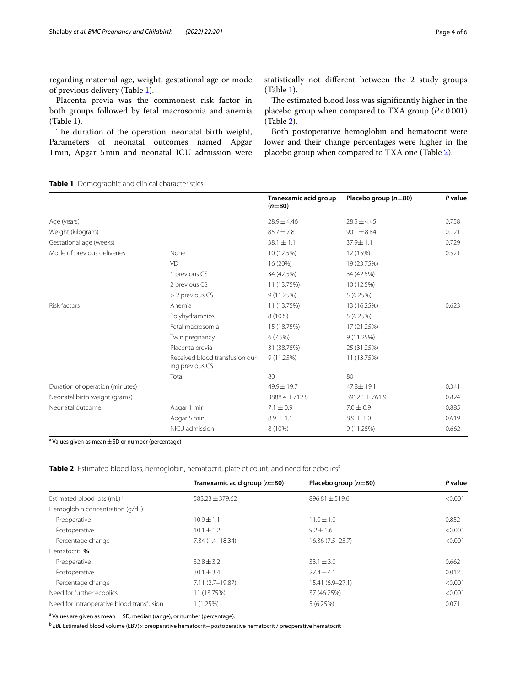regarding maternal age, weight, gestational age or mode of previous delivery (Table [1](#page-3-0)).

Placenta previa was the commonest risk factor in both groups followed by fetal macrosomia and anemia (Table [1](#page-3-0)).

The duration of the operation, neonatal birth weight, Parameters of neonatal outcomes named Apgar 1min, Apgar 5min and neonatal ICU admission were statistically not diferent between the 2 study groups (Table [1\)](#page-3-0).

The estimated blood loss was significantly higher in the placebo group when compared to TXA group  $(P<0.001)$ (Table [2\)](#page-3-1).

Both postoperative hemoglobin and hematocrit were lower and their change percentages were higher in the placebo group when compared to TXA one (Table [2](#page-3-1)).

## <span id="page-3-0"></span>**Table 1** Demographic and clinical characteristics<sup>a</sup>

|                                 |                                                    | Tranexamic acid group<br>$(n=80)$ | Placebo group $(n=80)$ | P value |
|---------------------------------|----------------------------------------------------|-----------------------------------|------------------------|---------|
| Age (years)                     |                                                    | $28.9 \pm 4.46$                   | $28.5 \pm 4.45$        | 0.758   |
| Weight (kilogram)               |                                                    | $85.7 \pm 7.8$                    | $90.1 \pm 8.84$        | 0.121   |
| Gestational age (weeks)         |                                                    | $38.1 \pm 1.1$                    | 37.9±1.1               | 0.729   |
| Mode of previous deliveries     | None                                               | 10 (12.5%)                        | 12 (15%)               | 0.521   |
|                                 | VD                                                 | 16 (20%)                          | 19 (23.75%)            |         |
|                                 | 1 previous CS                                      | 34 (42.5%)                        | 34 (42.5%)             |         |
|                                 | 2 previous CS                                      | 11 (13.75%)                       | 10 (12.5%)             |         |
|                                 | > 2 previous CS                                    | 9(11.25%)                         | 5(6.25%)               |         |
| Risk factors                    | Anemia                                             | 11 (13.75%)                       | 13 (16.25%)            | 0.623   |
|                                 | Polyhydramnios                                     | 8 (10%)                           | 5(6.25%)               |         |
|                                 | Fetal macrosomia                                   | 15 (18.75%)                       | 17 (21.25%)            |         |
|                                 | Twin pregnancy                                     | 6(7.5%)                           | 9(11.25%)              |         |
|                                 | Placenta previa                                    | 31 (38.75%)                       | 25 (31.25%)            |         |
|                                 | Received blood transfusion dur-<br>ing previous CS | 9(11.25%)                         | 11 (13.75%)            |         |
|                                 | Total                                              | 80                                | 80                     |         |
| Duration of operation (minutes) |                                                    | 49.9±19.7                         | 47.8±19.1              | 0.341   |
| Neonatal birth weight (grams)   |                                                    | 3888.4 ±712.8                     | 3912.1±761.9           | 0.824   |
| Neonatal outcome                | Apgar 1 min                                        | $7.1 \pm 0.9$                     | $7.0 \pm 0.9$          | 0.885   |
|                                 | Apgar 5 min                                        | $8.9 \pm 1.1$                     | $8.9 \pm 1.0$          | 0.619   |
|                                 | NICU admission                                     | 8 (10%)                           | 9 (11.25%)             | 0.662   |

 $^{\rm a}$  Values given as mean $\pm$  SD or number (percentage)

<span id="page-3-1"></span>**Table 2** Estimated blood loss, hemoglobin, hematocrit, platelet count, and need for ecbolics<sup>a</sup>

|                                           | Tranexamic acid group $(n=80)$ | Placebo group $(n=80)$ | P value |
|-------------------------------------------|--------------------------------|------------------------|---------|
| Estimated blood loss (mL) <sup>b</sup>    | $583.23 \pm 379.62$            | $896.81 \pm 519.6$     | < 0.001 |
| Hemoglobin concentration (g/dL)           |                                |                        |         |
| Preoperative                              | $10.9 + 1.1$                   | $11.0 \pm 1.0$         | 0.852   |
| Postoperative                             | $10.1 \pm 1.2$                 | $9.2 \pm 1.6$          | < 0.001 |
| Percentage change                         | 7.34 (1.4-18.34)               | $16.36(7.5 - 25.7)$    | < 0.001 |
| Hematocrit %                              |                                |                        |         |
| Preoperative                              | $32.8 \pm 3.2$                 | $33.1 \pm 3.0$         | 0.662   |
| Postoperative                             | $30.1 \pm 3.4$                 | $27.4 \pm 4.1$         | 0.012   |
| Percentage change                         | $7.11(2.7-19.87)$              | 15.41 (6.9-27.1)       | < 0.001 |
| Need for further echolics                 | 11 (13.75%)                    | 37 (46.25%)            | < 0.001 |
| Need for intraoperative blood transfusion | $(1.25\%)$                     | 5(6.25%)               | 0.071   |

 $^{\rm a}$  Values are given as mean  $\pm$  SD, median (range), or number (percentage).

<sup>b</sup> *EBL* Estimated blood volume (EBV)×preoperative hematocrit−postoperative hematocrit / preoperative hematocrit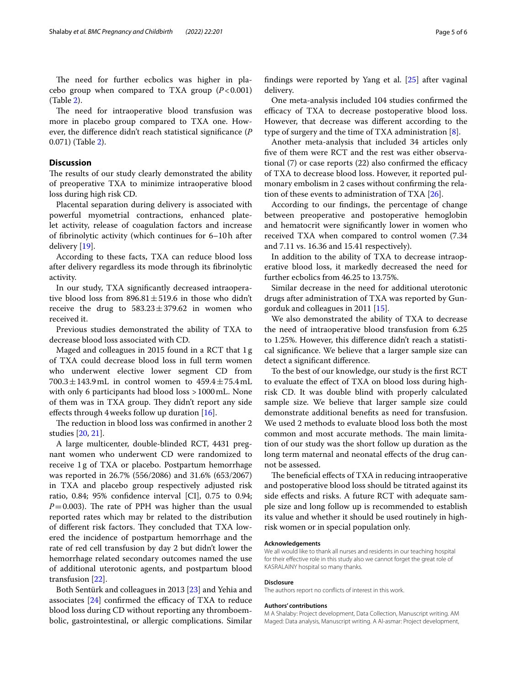The need for further ecbolics was higher in placebo group when compared to TXA group  $(P<0.001)$ (Table [2](#page-3-1)).

The need for intraoperative blood transfusion was more in placebo group compared to TXA one. However, the diference didn't reach statistical signifcance (*P* 0.071) (Table [2\)](#page-3-1).

## **Discussion**

The results of our study clearly demonstrated the ability of preoperative TXA to minimize intraoperative blood loss during high risk CD.

Placental separation during delivery is associated with powerful myometrial contractions, enhanced platelet activity, release of coagulation factors and increase of fbrinolytic activity (which continues for 6–10h after delivery [[19](#page-5-17)].

According to these facts, TXA can reduce blood loss after delivery regardless its mode through its fbrinolytic activity.

In our study, TXA signifcantly decreased intraoperative blood loss from  $896.81 \pm 519.6$  in those who didn't receive the drug to  $583.23 \pm 379.62$  in women who received it.

Previous studies demonstrated the ability of TXA to decrease blood loss associated with CD.

Maged and colleagues in 2015 found in a RCT that 1 g of TXA could decrease blood loss in full term women who underwent elective lower segment CD from  $700.3 \pm 143.9$  mL in control women to  $459.4 \pm 75.4$  mL with only 6 participants had blood loss >1000mL. None of them was in TXA group. They didn't report any side effects through 4 weeks follow up duration  $[16]$  $[16]$ .

The reduction in blood loss was confirmed in another 2 studies [[20,](#page-5-18) [21\]](#page-5-19).

A large multicenter, double-blinded RCT, 4431 pregnant women who underwent CD were randomized to receive 1g of TXA or placebo. Postpartum hemorrhage was reported in 26.7% (556/2086) and 31.6% (653/2067) in TXA and placebo group respectively adjusted risk ratio, 0.84; 95% confdence interval [CI], 0.75 to 0.94;  $P=0.003$ ). The rate of PPH was higher than the usual reported rates which may br related to the distribution of different risk factors. They concluded that TXA lowered the incidence of postpartum hemorrhage and the rate of red cell transfusion by day 2 but didn't lower the hemorrhage related secondary outcomes named the use of additional uterotonic agents, and postpartum blood transfusion [\[22](#page-5-20)].

Both Sentürk and colleagues in 2013 [\[23](#page-5-21)] and Yehia and associates  $[24]$  $[24]$  confirmed the efficacy of TXA to reduce blood loss during CD without reporting any thromboembolic, gastrointestinal, or allergic complications. Similar fndings were reported by Yang et al. [[25\]](#page-5-23) after vaginal delivery.

One meta-analysis included 104 studies confrmed the efficacy of TXA to decrease postoperative blood loss. However, that decrease was diferent according to the type of surgery and the time of TXA administration [[8\]](#page-5-7).

Another meta-analysis that included 34 articles only fve of them were RCT and the rest was either observational  $(7)$  or case reports  $(22)$  also confirmed the efficacy of TXA to decrease blood loss. However, it reported pulmonary embolism in 2 cases without confrming the relation of these events to administration of TXA  $[26]$  $[26]$ .

According to our fndings, the percentage of change between preoperative and postoperative hemoglobin and hematocrit were signifcantly lower in women who received TXA when compared to control women (7.34 and 7.11 vs. 16.36 and 15.41 respectively).

In addition to the ability of TXA to decrease intraoperative blood loss, it markedly decreased the need for further ecbolics from 46.25 to 13.75%.

Similar decrease in the need for additional uterotonic drugs after administration of TXA was reported by Gungorduk and colleagues in 2011 [[15](#page-5-25)].

We also demonstrated the ability of TXA to decrease the need of intraoperative blood transfusion from 6.25 to 1.25%. However, this diference didn't reach a statistical signifcance. We believe that a larger sample size can detect a signifcant diference.

To the best of our knowledge, our study is the frst RCT to evaluate the efect of TXA on blood loss during highrisk CD. It was double blind with properly calculated sample size. We believe that larger sample size could demonstrate additional benefts as need for transfusion. We used 2 methods to evaluate blood loss both the most common and most accurate methods. The main limitation of our study was the short follow up duration as the long term maternal and neonatal efects of the drug cannot be assessed.

The beneficial effects of TXA in reducing intraoperative and postoperative blood loss should be titrated against its side effects and risks. A future RCT with adequate sample size and long follow up is recommended to establish its value and whether it should be used routinely in highrisk women or in special population only.

#### **Acknowledgements**

We all would like to thank all nurses and residents in our teaching hospital for their effective role in this study also we cannot forget the great role of KASRALAINY hospital so many thanks.

#### **Disclosure**

The authors report no conficts of interest in this work.

#### **Authors' contributions**

M A Shalaby: Project development, Data Collection, Manuscript writing. AM Maged: Data analysis, Manuscript writing. A Al-asmar: Project development,